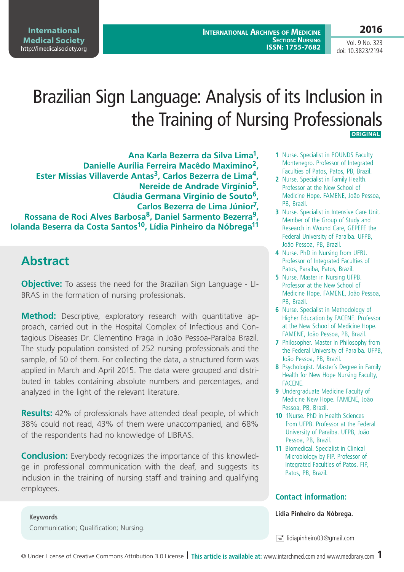**International Archives of Medicine SECTION: NURSING ISSN: 1755-7682** **2016**

Vol. 9 No. 323 doi: 10.3823/2194

# Brazilian Sign Language: Analysis of its Inclusion in the Training of Nursing Professionals  **ORIGINAL**

**Ana Karla Bezerra da Silva Lima1, Danielle Aurília Ferreira Macêdo Maximino2,**  Ester Missias Villaverde Antas<sup>3</sup>, Carlos Bezerra de Lima<sup>4</sup>, **Nereide de Andrade Virgínio5, Cláudia Germana Virgínio de Souto6, Carlos Bezerra de Lima Júnior7, Rossana de Roci Alves Barbosa8, Daniel Sarmento Bezerra9, Iolanda Beserra da Costa Santos10, Lídia Pinheiro da Nóbrega11**

# **Abstract**

**Objective:** To assess the need for the Brazilian Sign Language - LI-BRAS in the formation of nursing professionals.

**Method:** Descriptive, exploratory research with quantitative approach, carried out in the Hospital Complex of Infectious and Contagious Diseases Dr. Clementino Fraga in João Pessoa-Paraíba Brazil. The study population consisted of 252 nursing professionals and the sample, of 50 of them. For collecting the data, a structured form was applied in March and April 2015. The data were grouped and distributed in tables containing absolute numbers and percentages, and analyzed in the light of the relevant literature.

**Results:** 42% of professionals have attended deaf people, of which 38% could not read, 43% of them were unaccompanied, and 68% of the respondents had no knowledge of LIBRAS.

**Conclusion:** Everybody recognizes the importance of this knowledge in professional communication with the deaf, and suggests its inclusion in the training of nursing staff and training and qualifying employees.

- **1** Nurse. Specialist in POUNDS Faculty Montenegro. Professor of Integrated Faculties of Patos, Patos, PB, Brazil.
- **2** Nurse. Specialist in Family Health. Professor at the New School of Medicine Hope. FAMENE, João Pessoa, PB, Brazil.
- **3** Nurse. Specialist in Intensive Care Unit. Member of the Group of Study and Research in Wound Care, GEPEFE the Federal University of Paraíba. UFPB, João Pessoa, PB, Brazil.
- **4** Nurse. PhD in Nursing from UFRJ. Professor of Integrated Faculties of Patos, Paraiba, Patos, Brazil.
- **5** Nurse. Master in Nursing UFPB. Professor at the New School of Medicine Hope. FAMENE, João Pessoa, PB, Brazil.
- **6** Nurse. Specialist in Methodology of Higher Education by FACENE. Professor at the New School of Medicine Hope. FAMENE, João Pessoa, PB, Brazil.
- **7** Philosopher. Master in Philosophy from the Federal University of Paraíba. UFPB, João Pessoa, PB, Brazil.
- **8** Psychologist. Master's Degree in Family Health for New Hope Nursing Faculty, FACENE.
- **9** Undergraduate Medicine Faculty of Medicine New Hope. FAMENE, João Pessoa, PB, Brazil.
- **10** 1Nurse. PhD in Health Sciences from UFPB. Professor at the Federal University of Paraíba. UFPB, João Pessoa, PB, Brazil.
- **11** Biomedical. Specialist in Clinical Microbiology by FIP. Professor of Integrated Faculties of Patos. FIP, Patos, PB, Brazil.

#### **Contact information:**

**Lídia Pinheiro da Nóbrega.**

 $\equiv$  lidiapinheiro03@gmail.com

**Keywords** Communication; Qualification; Nursing.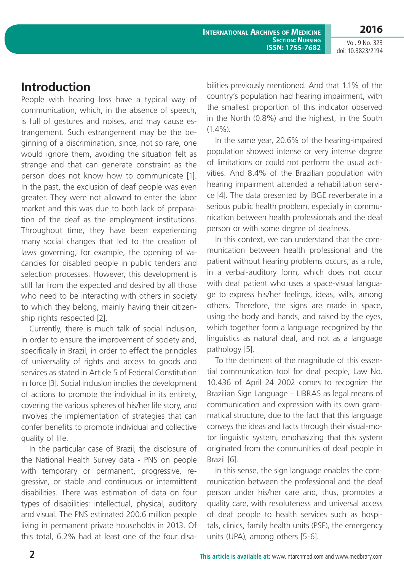**International Archives of Medicine SECTION: NURSING ISSN: 1755-7682** **2016**

Vol. 9 No. 323 doi: 10.3823/2194

### **Introduction**

People with hearing loss have a typical way of communication, which, in the absence of speech, is full of gestures and noises, and may cause estrangement. Such estrangement may be the beginning of a discrimination, since, not so rare, one would ignore them, avoiding the situation felt as strange and that can generate constraint as the person does not know how to communicate [1]. In the past, the exclusion of deaf people was even greater. They were not allowed to enter the labor market and this was due to both lack of preparation of the deaf as the employment institutions. Throughout time, they have been experiencing many social changes that led to the creation of laws governing, for example, the opening of vacancies for disabled people in public tenders and selection processes. However, this development is still far from the expected and desired by all those who need to be interacting with others in society to which they belong, mainly having their citizenship rights respected [2].

Currently, there is much talk of social inclusion, in order to ensure the improvement of society and, specifically in Brazil, in order to effect the principles of universality of rights and access to goods and services as stated in Article 5 of Federal Constitution in force [3]. Social inclusion implies the development of actions to promote the individual in its entirety, covering the various spheres of his/her life story, and involves the implementation of strategies that can confer benefits to promote individual and collective quality of life.

In the particular case of Brazil, the disclosure of the National Health Survey data - PNS on people with temporary or permanent, progressive, regressive, or stable and continuous or intermittent disabilities. There was estimation of data on four types of disabilities: intellectual, physical, auditory and visual. The PNS estimated 200.6 million people living in permanent private households in 2013. Of this total, 6.2% had at least one of the four disabilities previously mentioned. And that 1.1% of the country's population had hearing impairment, with the smallest proportion of this indicator observed in the North (0.8%) and the highest, in the South  $(1.4\%)$ .

In the same year, 20.6% of the hearing-impaired population showed intense or very intense degree of limitations or could not perform the usual activities. And 8.4% of the Brazilian population with hearing impairment attended a rehabilitation service [4]. The data presented by IBGE reverberate in a serious public health problem, especially in communication between health professionals and the deaf person or with some degree of deafness.

In this context, we can understand that the communication between health professional and the patient without hearing problems occurs, as a rule, in a verbal-auditory form, which does not occur with deaf patient who uses a space-visual language to express his/her feelings, ideas, wills, among others. Therefore, the signs are made in space, using the body and hands, and raised by the eyes, which together form a language recognized by the linguistics as natural deaf, and not as a language pathology [5].

To the detriment of the magnitude of this essential communication tool for deaf people, Law No. 10.436 of April 24 2002 comes to recognize the Brazilian Sign Language – LIBRAS as legal means of communication and expression with its own grammatical structure, due to the fact that this language conveys the ideas and facts through their visual-motor linguistic system, emphasizing that this system originated from the communities of deaf people in Brazil [6].

In this sense, the sign language enables the communication between the professional and the deaf person under his/her care and, thus, promotes a quality care, with resoluteness and universal access of deaf people to health services such as hospitals, clinics, family health units (PSF), the emergency units (UPA), among others [5-6].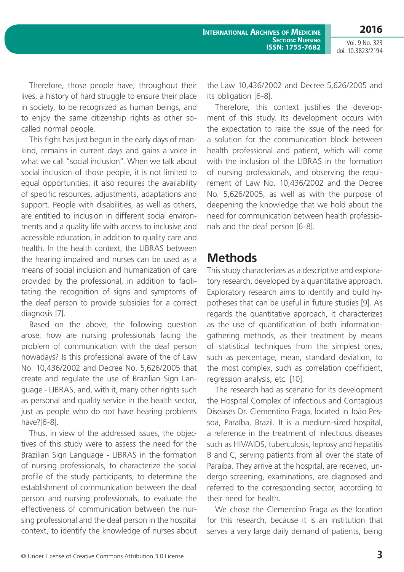Therefore, those people have, throughout their lives, a history of hard struggle to ensure their place in society, to be recognized as human beings, and to enjoy the same citizenship rights as other socalled normal people.

This fight has just begun in the early days of mankind, remains in current days and gains a voice in what we call "social inclusion". When we talk about social inclusion of those people, it is not limited to equal opportunities; it also requires the availability of specific resources, adjustments, adaptations and support. People with disabilities, as well as others, are entitled to inclusion in different social environments and a quality life with access to inclusive and accessible education, in addition to quality care and health. In the health context, the LIBRAS between the hearing impaired and nurses can be used as a means of social inclusion and humanization of care provided by the professional, in addition to facilitating the recognition of signs and symptoms of the deaf person to provide subsidies for a correct diagnosis [7].

Based on the above, the following question arose: how are nursing professionals facing the problem of communication with the deaf person nowadays? Is this professional aware of the of Law No. 10,436/2002 and Decree No. 5,626/2005 that create and regulate the use of Brazilian Sign Language - LIBRAS, and, with it, many other rights such as personal and quality service in the health sector, just as people who do not have hearing problems have?[6-8].

Thus, in view of the addressed issues, the objectives of this study were to assess the need for the Brazilian Sign Language - LIBRAS in the formation of nursing professionals, to characterize the social profile of the study participants, to determine the establishment of communication between the deaf person and nursing professionals, to evaluate the effectiveness of communication between the nursing professional and the deaf person in the hospital context, to identify the knowledge of nurses about the Law 10,436/2002 and Decree 5,626/2005 and its obligation [6-8].

Therefore, this context justifies the development of this study. Its development occurs with the expectation to raise the issue of the need for a solution for the communication block between health professional and patient, which will come with the inclusion of the LIBRAS in the formation of nursing professionals, and observing the requirement of Law No. 10,436/2002 and the Decree No. 5,626/2005, as well as with the purpose of deepening the knowledge that we hold about the need for communication between health professionals and the deaf person [6-8].

### **Methods**

This study characterizes as a descriptive and exploratory research, developed by a quantitative approach. Exploratory research aims to identify and build hypotheses that can be useful in future studies [9]. As regards the quantitative approach, it characterizes as the use of quantification of both informationgathering methods, as their treatment by means of statistical techniques from the simplest ones, such as percentage, mean, standard deviation, to the most complex, such as correlation coefficient, regression analysis, etc. [10].

The research had as scenario for its development the Hospital Complex of Infectious and Contagious Diseases Dr. Clementino Fraga, located in João Pessoa, Paraíba, Brazil. It is a medium-sized hospital, a reference in the treatment of infectious diseases such as HIV/AIDS, tuberculosis, leprosy and hepatitis B and C, serving patients from all over the state of Paraiba. They arrive at the hospital, are received, undergo screening, examinations, are diagnosed and referred to the corresponding sector, according to their need for health.

We chose the Clementino Fraga as the location for this research, because it is an institution that serves a very large daily demand of patients, being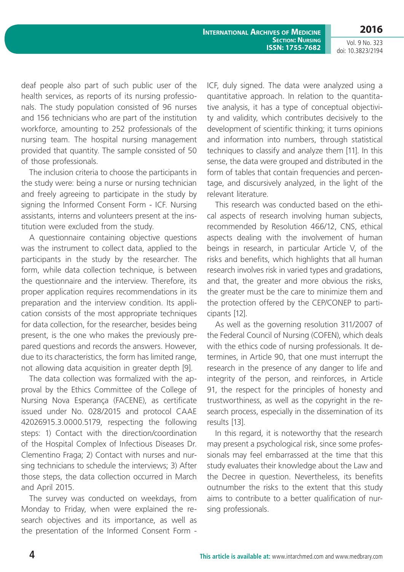deaf people also part of such public user of the health services, as reports of its nursing professionals. The study population consisted of 96 nurses and 156 technicians who are part of the institution workforce, amounting to 252 professionals of the nursing team. The hospital nursing management provided that quantity. The sample consisted of 50 of those professionals.

The inclusion criteria to choose the participants in the study were: being a nurse or nursing technician and freely agreeing to participate in the study by signing the Informed Consent Form - ICF. Nursing assistants, interns and volunteers present at the institution were excluded from the study.

A questionnaire containing objective questions was the instrument to collect data, applied to the participants in the study by the researcher. The form, while data collection technique, is between the questionnaire and the interview. Therefore, its proper application requires recommendations in its preparation and the interview condition. Its application consists of the most appropriate techniques for data collection, for the researcher, besides being present, is the one who makes the previously prepared questions and records the answers. However, due to its characteristics, the form has limited range, not allowing data acquisition in greater depth [9].

The data collection was formalized with the approval by the Ethics Committee of the College of Nursing Nova Esperança (FACENE), as certificate issued under No. 028/2015 and protocol CAAE 42026915.3.0000.5179, respecting the following steps: 1) Contact with the direction/coordination of the Hospital Complex of Infectious Diseases Dr. Clementino Fraga; 2) Contact with nurses and nursing technicians to schedule the interviews; 3) After those steps, the data collection occurred in March and April 2015.

The survey was conducted on weekdays, from Monday to Friday, when were explained the research objectives and its importance, as well as the presentation of the Informed Consent Form - ICF, duly signed. The data were analyzed using a quantitative approach. In relation to the quantitative analysis, it has a type of conceptual objectivity and validity, which contributes decisively to the development of scientific thinking; it turns opinions and information into numbers, through statistical techniques to classify and analyze them [11]. In this sense, the data were grouped and distributed in the form of tables that contain frequencies and percentage, and discursively analyzed, in the light of the relevant literature.

This research was conducted based on the ethical aspects of research involving human subjects, recommended by Resolution 466/12, CNS, ethical aspects dealing with the involvement of human beings in research, in particular Article V, of the risks and benefits, which highlights that all human research involves risk in varied types and gradations, and that, the greater and more obvious the risks, the greater must be the care to minimize them and the protection offered by the CEP/CONEP to participants [12].

As well as the governing resolution 311/2007 of the Federal Council of Nursing (COFEN), which deals with the ethics code of nursing professionals. It determines, in Article 90, that one must interrupt the research in the presence of any danger to life and integrity of the person, and reinforces, in Article 91, the respect for the principles of honesty and trustworthiness, as well as the copyright in the research process, especially in the dissemination of its results [13].

In this regard, it is noteworthy that the research may present a psychological risk, since some professionals may feel embarrassed at the time that this study evaluates their knowledge about the Law and the Decree in question. Nevertheless, its benefits outnumber the risks to the extent that this study aims to contribute to a better qualification of nursing professionals.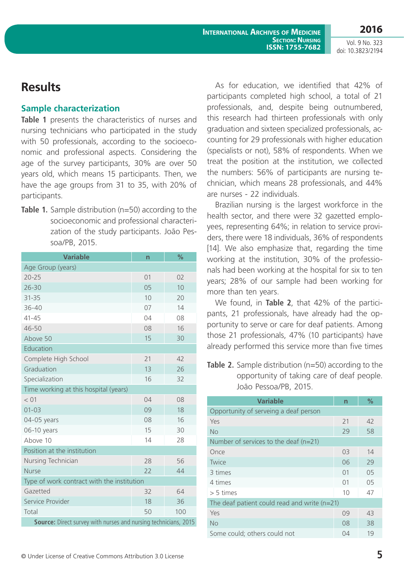**2016**

# **Results**

#### **Sample characterization**

**Table 1** presents the characteristics of nurses and nursing technicians who participated in the study with 50 professionals, according to the socioeconomic and professional aspects. Considering the age of the survey participants, 30% are over 50 years old, which means 15 participants. Then, we have the age groups from 31 to 35, with 20% of participants.

**Table 1.** Sample distribution (n=50) according to the socioeconomic and professional characterization of the study participants. João Pessoa/PB, 2015.

| <b>Variable</b>                                                 | n  | %   |  |
|-----------------------------------------------------------------|----|-----|--|
| Age Group (years)                                               |    |     |  |
| $20 - 25$                                                       | 01 | 02  |  |
| $26 - 30$                                                       | 05 | 10  |  |
| $31 - 35$                                                       | 10 | 20  |  |
| $36 - 40$                                                       | 07 | 14  |  |
| $41 - 45$                                                       | 04 | 08  |  |
| 46-50                                                           | 08 | 16  |  |
| Above 50                                                        | 15 | 30  |  |
| Education                                                       |    |     |  |
| Complete High School                                            | 21 | 42  |  |
| Graduation                                                      | 13 | 26  |  |
| Specialization                                                  | 16 | 32  |  |
| Time working at this hospital (years)                           |    |     |  |
| < 01                                                            | 04 | 08  |  |
| $01 - 03$                                                       | 09 | 18  |  |
| 04-05 years                                                     | 08 | 16  |  |
| 06-10 years                                                     | 15 | 30  |  |
| Above 10                                                        | 14 | 28  |  |
| Position at the institution                                     |    |     |  |
| Nursing Technician                                              | 28 | 56  |  |
| <b>Nurse</b>                                                    | 22 | 44  |  |
| Type of work contract with the institution                      |    |     |  |
| Gazetted                                                        | 32 | 64  |  |
| Service Provider                                                | 18 | 36  |  |
| Total                                                           | 50 | 100 |  |
| Source: Direct survey with nurses and nursing technicians, 2015 |    |     |  |

As for education, we identified that 42% of participants completed high school, a total of 21 professionals, and, despite being outnumbered, this research had thirteen professionals with only graduation and sixteen specialized professionals, accounting for 29 professionals with higher education (specialists or not), 58% of respondents. When we treat the position at the institution, we collected the numbers: 56% of participants are nursing technician, which means 28 professionals, and 44% are nurses - 22 individuals.

Brazilian nursing is the largest workforce in the health sector, and there were 32 gazetted employees, representing 64%; in relation to service providers, there were 18 individuals, 36% of respondents [14]. We also emphasize that, regarding the time working at the institution, 30% of the professionals had been working at the hospital for six to ten years; 28% of our sample had been working for more than ten years.

We found, in **Table 2**, that 42% of the participants, 21 professionals, have already had the opportunity to serve or care for deaf patients. Among those 21 professionals, 47% (10 participants) have already performed this service more than five times

**Table 2.** Sample distribution (n=50) according to the opportunity of taking care of deaf people. João Pessoa/PB, 2015.

| <b>Variable</b>                                | n  | $\%$           |  |
|------------------------------------------------|----|----------------|--|
| Opportunity of serveing a deaf person          |    |                |  |
| Yes                                            | 21 | 42             |  |
| <b>No</b>                                      | 29 | 58             |  |
| Number of services to the deaf $(n=21)$        |    |                |  |
| Once                                           | 03 | 14             |  |
| Twice                                          | 06 | 29             |  |
| 3 times                                        | 01 | 0 <sub>5</sub> |  |
| 4 times                                        | 01 | 05             |  |
| $> 5$ times                                    | 10 | 47             |  |
| The deaf patient could read and write $(n=21)$ |    |                |  |
| Yes                                            | 09 | 43             |  |
| <b>No</b>                                      | 08 | 38             |  |
| Some could; others could not                   | 04 | 19             |  |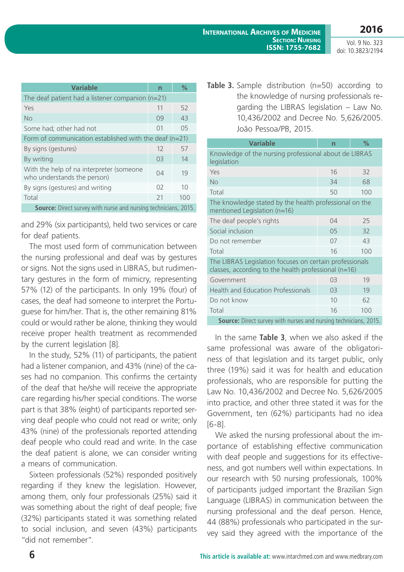| <b>Variable</b>                                                         | n  | $\%$           |  |  |
|-------------------------------------------------------------------------|----|----------------|--|--|
| The deaf patient had a listener companion $(n=21)$                      |    |                |  |  |
| Yes                                                                     | 11 | 52             |  |  |
| No                                                                      | 09 | 43             |  |  |
| Some had; other had not                                                 | 01 | 0 <sub>5</sub> |  |  |
| Form of communication established with the deaf ( $n=21$ )              |    |                |  |  |
| By signs (gestures)                                                     | 12 | 57             |  |  |
| By writing                                                              | 03 | 14             |  |  |
| With the help of na interpreter (someone<br>who understands the person) | 04 | 19             |  |  |
| By signs (gestures) and writing                                         | 02 | 10             |  |  |
| Total                                                                   | 21 | 100            |  |  |
| <b>Source:</b> Direct survey with nurse and nursing technicians, 2015.  |    |                |  |  |

and 29% (six participants), held two services or care for deaf patients.

The most used form of communication between the nursing professional and deaf was by gestures or signs. Not the signs used in LIBRAS, but rudimentary gestures in the form of mimicry, representing 57% (12) of the participants. In only 19% (four) of cases, the deaf had someone to interpret the Portuguese for him/her. That is, the other remaining 81% could or would rather be alone, thinking they would receive proper health treatment as recommended by the current legislation [8].

In the study, 52% (11) of participants, the patient had a listener companion, and 43% (nine) of the cases had no companion. This confirms the certainty of the deaf that he/she will receive the appropriate care regarding his/her special conditions. The worse part is that 38% (eight) of participants reported serving deaf people who could not read or write; only 43% (nine) of the professionals reported attending deaf people who could read and write. In the case the deaf patient is alone, we can consider writing a means of communication.

Sixteen professionals (52%) responded positively regarding if they knew the legislation. However, among them, only four professionals (25%) said it was something about the right of deaf people; five (32%) participants stated it was something related to social inclusion, and seven (43%) participants "did not remember".

**Table 3.** Sample distribution (n=50) according to the knowledge of nursing professionals regarding the LIBRAS legislation – Law No. 10,436/2002 and Decree No. 5,626/2005. João Pessoa/PB, 2015.

| <b>Variable</b>                                                                                                   | n              | $\%$ |  |
|-------------------------------------------------------------------------------------------------------------------|----------------|------|--|
| Knowledge of the nursing professional about de LIBRAS<br>legislation                                              |                |      |  |
| Yes                                                                                                               | 16             | 32   |  |
| No                                                                                                                | 34             | 68   |  |
| Total                                                                                                             | 50             | 100  |  |
| The knowledge stated by the health professional on the<br>mentioned Legislation (n=16)                            |                |      |  |
| The deaf people's rights                                                                                          | 04             | 25   |  |
| Social inclusion                                                                                                  | 0 <sub>5</sub> | 32   |  |
| Do not remember                                                                                                   | 07             | 43   |  |
| Total                                                                                                             | 16             | 100  |  |
| The LIBRAS Legislation focuses on certain professionals<br>classes, according to the health professional $(n=16)$ |                |      |  |
| Government                                                                                                        | 03             | 19   |  |
| <b>Health and Education Professionals</b>                                                                         | 03             | 19   |  |
| Do not know                                                                                                       | 10             | 62   |  |
| Total                                                                                                             | 16             | 100  |  |
| <b>Source:</b> Direct survey with nurses and nursing technicians, 2015.                                           |                |      |  |

In the same **Table 3**, when we also asked if the same professional was aware of the obligatoriness of that legislation and its target public, only three (19%) said it was for health and education professionals, who are responsible for putting the Law No. 10,436/2002 and Decree No. 5,626/2005 into practice, and other three stated it was for the Government, ten (62%) participants had no idea [6-8].

We asked the nursing professional about the importance of establishing effective communication with deaf people and suggestions for its effectiveness, and got numbers well within expectations. In our research with 50 nursing professionals, 100% of participants judged important the Brazilian Sign Language (LIBRAS) in communication between the nursing professional and the deaf person. Hence, 44 (88%) professionals who participated in the survey said they agreed with the importance of the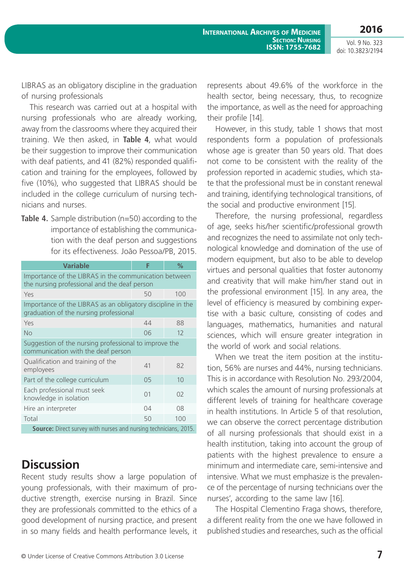LIBRAS as an obligatory discipline in the graduation of nursing professionals

This research was carried out at a hospital with nursing professionals who are already working, away from the classrooms where they acquired their training. We then asked, in **Table 4**, what would be their suggestion to improve their communication with deaf patients, and 41 (82%) responded qualification and training for the employees, followed by five (10%), who suggested that LIBRAS should be included in the college curriculum of nursing technicians and nurses.

**Table 4.** Sample distribution (n=50) according to the importance of establishing the communication with the deaf person and suggestions for its effectiveness. João Pessoa/PB, 2015.

| <b>Variable</b>                                                                                       | F              | $\%$           |  |
|-------------------------------------------------------------------------------------------------------|----------------|----------------|--|
| Importance of the LIBRAS in the communication between<br>the nursing professional and the deaf person |                |                |  |
| Yes                                                                                                   | 50             | 100            |  |
| Importance of the LIBRAS as an obligatory discipline in the<br>graduation of the nursing professional |                |                |  |
| Yes                                                                                                   | 44             | 88             |  |
| No                                                                                                    | 06             | 12             |  |
| Suggestion of the nursing professional to improve the<br>communication with the deaf person           |                |                |  |
| Qualification and training of the<br>employees                                                        | 41             | 82             |  |
| Part of the college curriculum                                                                        | 0 <sub>5</sub> | 10             |  |
| Each professional must seek<br>knowledge in isolation                                                 | 01             | O <sub>2</sub> |  |
| Hire an interpreter                                                                                   | 04             | 08             |  |
| Total                                                                                                 | 50             | 100            |  |
| <b>Source:</b> Direct survey with nurses and nursing technicians, 2015.                               |                |                |  |

### **Discussion**

Recent study results show a large population of young professionals, with their maximum of productive strength, exercise nursing in Brazil. Since they are professionals committed to the ethics of a good development of nursing practice, and present in so many fields and health performance levels, it represents about 49.6% of the workforce in the health sector, being necessary, thus, to recognize the importance, as well as the need for approaching their profile [14].

However, in this study, table 1 shows that most respondents form a population of professionals whose age is greater than 50 years old. That does not come to be consistent with the reality of the profession reported in academic studies, which state that the professional must be in constant renewal and training, identifying technological transitions, of the social and productive environment [15].

Therefore, the nursing professional, regardless of age, seeks his/her scientific/professional growth and recognizes the need to assimilate not only technological knowledge and domination of the use of modern equipment, but also to be able to develop virtues and personal qualities that foster autonomy and creativity that will make him/her stand out in the professional environment [15]. In any area, the level of efficiency is measured by combining expertise with a basic culture, consisting of codes and languages, mathematics, humanities and natural sciences, which will ensure greater integration in the world of work and social relations.

When we treat the item position at the institution, 56% are nurses and 44%, nursing technicians. This is in accordance with Resolution No. 293/2004, which scales the amount of nursing professionals at different levels of training for healthcare coverage in health institutions. In Article 5 of that resolution, we can observe the correct percentage distribution of all nursing professionals that should exist in a health institution, taking into account the group of patients with the highest prevalence to ensure a minimum and intermediate care, semi-intensive and intensive. What we must emphasize is the prevalence of the percentage of nursing technicians over the nurses', according to the same law [16].

The Hospital Clementino Fraga shows, therefore, a different reality from the one we have followed in published studies and researches, such as the official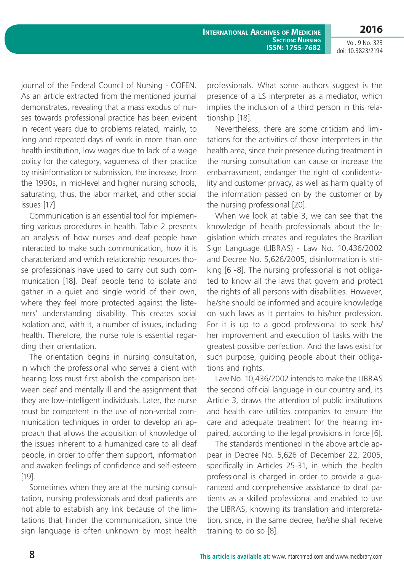**International Archives of Medicine SECTION: NURSING ISSN: 1755-7682**

Vol. 9 No. 323 doi: 10.3823/2194

**2016**

journal of the Federal Council of Nursing - COFEN. As an article extracted from the mentioned journal demonstrates, revealing that a mass exodus of nurses towards professional practice has been evident in recent years due to problems related, mainly, to long and repeated days of work in more than one health institution, low wages due to lack of a wage policy for the category, vagueness of their practice by misinformation or submission, the increase, from the 1990s, in mid-level and higher nursing schools, saturating, thus, the labor market, and other social issues [17].

Communication is an essential tool for implementing various procedures in health. Table 2 presents an analysis of how nurses and deaf people have interacted to make such communication, how it is characterized and which relationship resources those professionals have used to carry out such communication [18]. Deaf people tend to isolate and gather in a quiet and single world of their own, where they feel more protected against the listeners' understanding disability. This creates social isolation and, with it, a number of issues, including health. Therefore, the nurse role is essential regarding their orientation.

The orientation begins in nursing consultation, in which the professional who serves a client with hearing loss must first abolish the comparison between deaf and mentally ill and the assignment that they are low-intelligent individuals. Later, the nurse must be competent in the use of non-verbal communication techniques in order to develop an approach that allows the acquisition of knowledge of the issues inherent to a humanized care to all deaf people, in order to offer them support, information and awaken feelings of confidence and self-esteem [19].

Sometimes when they are at the nursing consultation, nursing professionals and deaf patients are not able to establish any link because of the limitations that hinder the communication, since the sign language is often unknown by most health professionals. What some authors suggest is the presence of a LS interpreter as a mediator, which implies the inclusion of a third person in this relationship [18].

Nevertheless, there are some criticism and limitations for the activities of those interpreters in the health area, since their presence during treatment in the nursing consultation can cause or increase the embarrassment, endanger the right of confidentiality and customer privacy, as well as harm quality of the information passed on by the customer or by the nursing professional [20].

When we look at table 3, we can see that the knowledge of health professionals about the legislation which creates and regulates the Brazilian Sign Language (LIBRAS) - Law No. 10,436/2002 and Decree No. 5,626/2005, disinformation is striking [6 -8]. The nursing professional is not obligated to know all the laws that govern and protect the rights of all persons with disabilities. However, he/she should be informed and acquire knowledge on such laws as it pertains to his/her profession. For it is up to a good professional to seek his/ her improvement and execution of tasks with the greatest possible perfection. And the laws exist for such purpose, guiding people about their obligations and rights.

Law No. 10,436/2002 intends to make the LIBRAS the second official language in our country and, its Article 3, draws the attention of public institutions and health care utilities companies to ensure the care and adequate treatment for the hearing impaired, according to the legal provisions in force [6].

The standards mentioned in the above article appear in Decree No. 5,626 of December 22, 2005, specifically in Articles 25-31, in which the health professional is charged in order to provide a guaranteed and comprehensive assistance to deaf patients as a skilled professional and enabled to use the LIBRAS, knowing its translation and interpretation, since, in the same decree, he/she shall receive training to do so [8].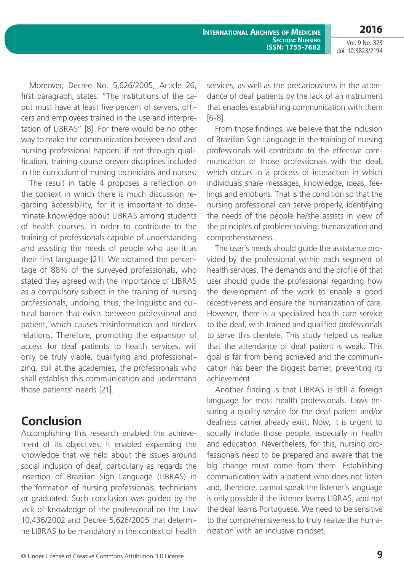**2016**

Vol. 9 No. 323 doi: 10.3823/2194

Moreover, Decree No. 5,626/2005, Article 26, first paragraph, states: "The institutions of the caput must have at least five percent of servers, officers and employees trained in the use and interpretation of LIBRAS" [8]. For there would be no other way to make the communication between deaf and nursing professional happen, if not through qualification, training course oreven disciplines included in the curriculum of nursing technicians and nurses.

The result in table 4 proposes a reflection on the context in which there is much discussion regarding accessibility, for it is important to disseminate knowledge about LIBRAS among students of health courses, in order to contribute to the training of professionals capable of understanding and assisting the needs of people who use it as their first language [21]. We obtained the percentage of 88% of the surveyed professionals, who stated they agreed with the importance of LIBRAS as a compulsory subject in the training of nursing professionals, undoing, thus, the linguistic and cultural barrier that exists between professional and patient, which causes misinformation and hinders relations. Therefore, promoting the expansion of access for deaf patients to health services, will only be truly viable, qualifying and professionalizing, still at the academies, the professionals who shall establish this communication and understand those patients' needs [21].

### **Conclusion**

Accomplishing this research enabled the achievement of its objectives. It enabled expanding the knowledge that we held about the issues around social inclusion of deaf, particularly as regards the insertion of Brazilian Sign Language (LIBRAS) in the formation of nursing professionals, technicians or graduated. Such conclusion was guided by the lack of knowledge of the professional on the Law 10,436/2002 and Decree 5,626/2005 that determine LIBRAS to be mandatory in the context of health

services, as well as the precariousness in the attendance of deaf patients by the lack of an instrument that enables establishing communication with them [6-8].

From those findings, we believe that the inclusion of Brazilian Sign Language in the training of nursing professionals will contribute to the effective communication of those professionals with the deaf, which occurs in a process of interaction in which individuals share messages, knowledge, ideas, feelings and emotions. That is the condition so that the nursing professional can serve properly, identifying the needs of the people he/she assists in view of the principles of problem solving, humanization and comprehensiveness.

The user's needs should guide the assistance provided by the professional within each segment of health services. The demands and the profile of that user should guide the professional regarding how the development of the work to enable a good receptiveness and ensure the humanization of care. However, there is a specialized health care service to the deaf, with trained and qualified professionals to serve this clientele. This study helped us realize that the attendance of deaf patient is weak. This goal is far from being achieved and the communication has been the biggest barrier, preventing its achievement.

Another finding is that LIBRAS is still a foreign language for most health professionals. Laws ensuring a quality service for the deaf patient and/or deafness carrier already exist. Now, it is urgent to socially include those people, especially in health and education. Nevertheless, for this, nursing professionals need to be prepared and aware that the big change must come from them. Establishing communication with a patient who does not listen and, therefore, cannot speak the listener's language is only possible if the listener learns LIBRAS, and not the deaf learns Portuguese. We need to be sensitive to the comprehensiveness to truly realize the humanization with an inclusive mindset.